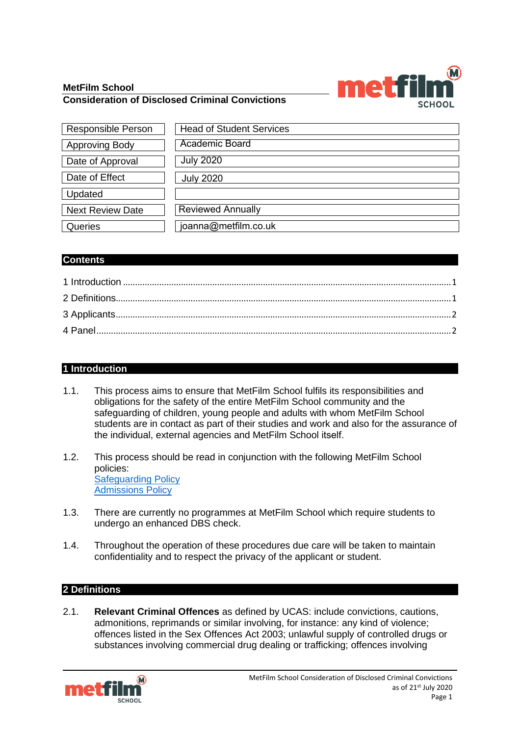# **MetFilm School**

## **Consideration of Disclosed Criminal Convictions**



| <b>Responsible Person</b> | <b>Head of Student Services</b> |
|---------------------------|---------------------------------|
| <b>Approving Body</b>     | Academic Board                  |
| Date of Approval          | <b>July 2020</b>                |
| Date of Effect            | <b>July 2020</b>                |
| Updated                   |                                 |
| <b>Next Review Date</b>   | <b>Reviewed Annually</b>        |
| Queries                   | joanna@metfilm.co.uk            |

### **Contents**

## <span id="page-0-0"></span>**1 Introduction**

- 1.1. This process aims to ensure that MetFilm School fulfils its responsibilities and obligations for the safety of the entire MetFilm School community and the safeguarding of children, young people and adults with whom MetFilm School students are in contact as part of their studies and work and also for the assurance of the individual, external agencies and MetFilm School itself.
- 1.2. This process should be read in conjunction with the following MetFilm School policies: [Safeguarding](https://www.metfilmschool.ac.uk/whymetfilm/homewhymetfilmschool/policies-key-documents/#SGP) Policy [Admissions](https://www.metfilmschool.ac.uk/whymetfilm/homewhymetfilmschool/policies-key-documents/#AP) Policy
- 1.3. There are currently no programmes at MetFilm School which require students to undergo an enhanced DBS check.
- 1.4. Throughout the operation of these procedures due care will be taken to maintain confidentiality and to respect the privacy of the applicant or student.

### <span id="page-0-1"></span>**2 Definitions**

2.1. **Relevant Criminal Offences** as defined by UCAS: include convictions, cautions, admonitions, reprimands or similar involving, for instance: any kind of violence; offences listed in the Sex Offences Act 2003; unlawful supply of controlled drugs or substances involving commercial drug dealing or trafficking; offences involving

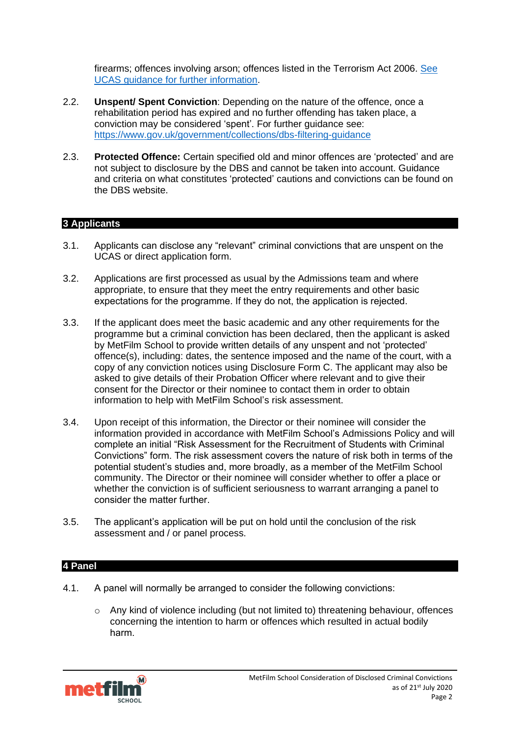firearms; offences involving arson; offences listed in the Terrorism Act 2006. [See](https://www.ucas.com/undergraduate/applying-university/criminal-convictions-what-you-need-know) UCAS guidance for further [information.](https://www.ucas.com/undergraduate/applying-university/criminal-convictions-what-you-need-know) 

- 2.2. **Unspent/ Spent Conviction**: Depending on the nature of the offence, once a rehabilitation period has expired and no further offending has taken place, a conviction may be considered 'spent'. For further guidance see: <https://www.gov.uk/government/collections/dbs-filtering-guidance>
- 2.3. **Protected Offence:** Certain specified old and minor offences are 'protected' and are not subject to disclosure by the DBS and cannot be taken into account. Guidance and criteria on what constitutes 'protected' cautions and convictions can be found on the DBS website.

### <span id="page-1-0"></span>**3 Applicants**

- 3.1. Applicants can disclose any "relevant" criminal convictions that are unspent on the UCAS or direct application form.
- 3.2. Applications are first processed as usual by the Admissions team and where appropriate, to ensure that they meet the entry requirements and other basic expectations for the programme. If they do not, the application is rejected.
- 3.3. If the applicant does meet the basic academic and any other requirements for the programme but a criminal conviction has been declared, then the applicant is asked by MetFilm School to provide written details of any unspent and not 'protected' offence(s), including: dates, the sentence imposed and the name of the court, with a copy of any conviction notices using Disclosure Form C. The applicant may also be asked to give details of their Probation Officer where relevant and to give their consent for the Director or their nominee to contact them in order to obtain information to help with MetFilm School's risk assessment.
- 3.4. Upon receipt of this information, the Director or their nominee will consider the information provided in accordance with MetFilm School's Admissions Policy and will complete an initial "Risk Assessment for the Recruitment of Students with Criminal Convictions" form. The risk assessment covers the nature of risk both in terms of the potential student's studies and, more broadly, as a member of the MetFilm School community. The Director or their nominee will consider whether to offer a place or whether the conviction is of sufficient seriousness to warrant arranging a panel to consider the matter further.
- 3.5. The applicant's application will be put on hold until the conclusion of the risk assessment and / or panel process.

### <span id="page-1-1"></span>**4 Panel**

- 4.1. A panel will normally be arranged to consider the following convictions:
	- $\circ$  Any kind of violence including (but not limited to) threatening behaviour, offences concerning the intention to harm or offences which resulted in actual bodily harm.